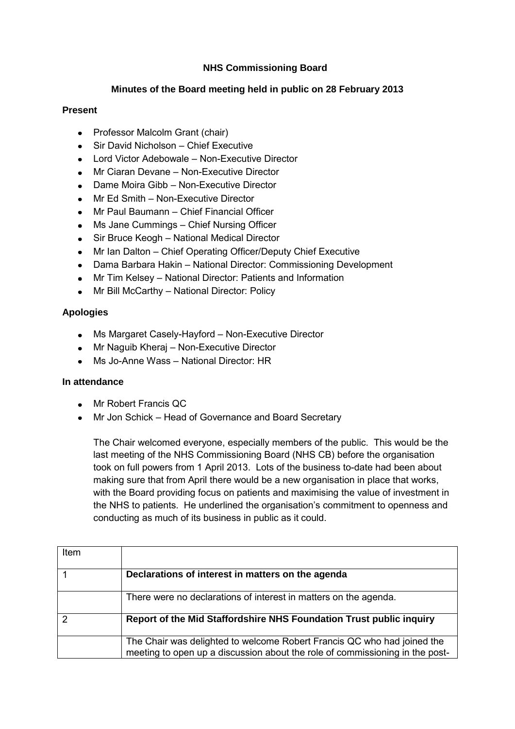# **NHS Commissioning Board**

### **Minutes of the Board meeting held in public on 28 February 2013**

### **Present**

- Professor Malcolm Grant (chair)
- Sir David Nicholson Chief Executive
- Lord Victor Adebowale Non-Executive Director  $\bullet$
- Mr Ciaran Devane Non-Executive Director
- Dame Moira Gibb Non-Executive Director
- Mr Ed Smith Non-Executive Director
- Mr Paul Baumann Chief Financial Officer
- Ms Jane Cummings Chief Nursing Officer  $\bullet$
- Sir Bruce Keogh National Medical Director  $\bullet$
- Mr Ian Dalton Chief Operating Officer/Deputy Chief Executive  $\bullet$
- Dama Barbara Hakin National Director: Commissioning Development  $\bullet$
- Mr Tim Kelsey National Director: Patients and Information  $\bullet$
- $\bullet$ Mr Bill McCarthy – National Director: Policy

## **Apologies**

- Ms Margaret Casely-Hayford Non-Executive Director
- Mr Naguib Kherai Non-Executive Director
- Ms Jo-Anne Wass National Director: HR

## **In attendance**

- Mr Robert Francis QC
- Mr Jon Schick Head of Governance and Board Secretary

The Chair welcomed everyone, especially members of the public. This would be the last meeting of the NHS Commissioning Board (NHS CB) before the organisation took on full powers from 1 April 2013. Lots of the business to-date had been about making sure that from April there would be a new organisation in place that works, with the Board providing focus on patients and maximising the value of investment in the NHS to patients. He underlined the organisation's commitment to openness and conducting as much of its business in public as it could.

| Item |                                                                                                                                                         |
|------|---------------------------------------------------------------------------------------------------------------------------------------------------------|
|      | Declarations of interest in matters on the agenda                                                                                                       |
|      | There were no declarations of interest in matters on the agenda.                                                                                        |
| っ    | Report of the Mid Staffordshire NHS Foundation Trust public inquiry                                                                                     |
|      | The Chair was delighted to welcome Robert Francis QC who had joined the<br>meeting to open up a discussion about the role of commissioning in the post- |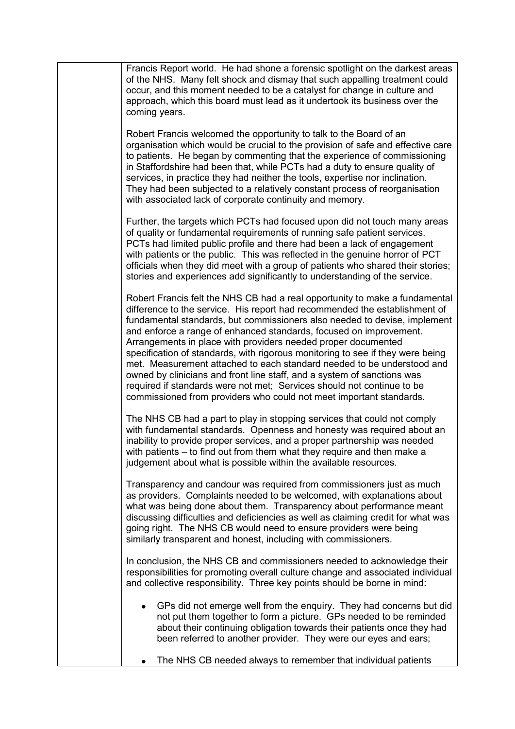| Francis Report world. He had shone a forensic spotlight on the darkest areas<br>of the NHS. Many felt shock and dismay that such appalling treatment could<br>occur, and this moment needed to be a catalyst for change in culture and<br>approach, which this board must lead as it undertook its business over the<br>coming years.                                                                                                                                                                                                                                                                                                                                                                                                                                 |
|-----------------------------------------------------------------------------------------------------------------------------------------------------------------------------------------------------------------------------------------------------------------------------------------------------------------------------------------------------------------------------------------------------------------------------------------------------------------------------------------------------------------------------------------------------------------------------------------------------------------------------------------------------------------------------------------------------------------------------------------------------------------------|
| Robert Francis welcomed the opportunity to talk to the Board of an<br>organisation which would be crucial to the provision of safe and effective care<br>to patients. He began by commenting that the experience of commissioning<br>in Staffordshire had been that, while PCTs had a duty to ensure quality of<br>services, in practice they had neither the tools, expertise nor inclination.<br>They had been subjected to a relatively constant process of reorganisation<br>with associated lack of corporate continuity and memory.                                                                                                                                                                                                                             |
| Further, the targets which PCTs had focused upon did not touch many areas<br>of quality or fundamental requirements of running safe patient services.<br>PCTs had limited public profile and there had been a lack of engagement<br>with patients or the public. This was reflected in the genuine horror of PCT<br>officials when they did meet with a group of patients who shared their stories;<br>stories and experiences add significantly to understanding of the service.                                                                                                                                                                                                                                                                                     |
| Robert Francis felt the NHS CB had a real opportunity to make a fundamental<br>difference to the service. His report had recommended the establishment of<br>fundamental standards, but commissioners also needed to devise, implement<br>and enforce a range of enhanced standards, focused on improvement.<br>Arrangements in place with providers needed proper documented<br>specification of standards, with rigorous monitoring to see if they were being<br>met. Measurement attached to each standard needed to be understood and<br>owned by clinicians and front line staff, and a system of sanctions was<br>required if standards were not met; Services should not continue to be<br>commissioned from providers who could not meet important standards. |
| The NHS CB had a part to play in stopping services that could not comply<br>with fundamental standards. Openness and honesty was required about an<br>inability to provide proper services, and a proper partnership was needed<br>with patients - to find out from them what they require and then make a<br>judgement about what is possible within the available resources.                                                                                                                                                                                                                                                                                                                                                                                        |
| Transparency and candour was required from commissioners just as much<br>as providers. Complaints needed to be welcomed, with explanations about<br>what was being done about them. Transparency about performance meant<br>discussing difficulties and deficiencies as well as claiming credit for what was<br>going right. The NHS CB would need to ensure providers were being<br>similarly transparent and honest, including with commissioners.                                                                                                                                                                                                                                                                                                                  |
| In conclusion, the NHS CB and commissioners needed to acknowledge their<br>responsibilities for promoting overall culture change and associated individual<br>and collective responsibility. Three key points should be borne in mind:                                                                                                                                                                                                                                                                                                                                                                                                                                                                                                                                |
| GPs did not emerge well from the enquiry. They had concerns but did<br>not put them together to form a picture. GPs needed to be reminded<br>about their continuing obligation towards their patients once they had<br>been referred to another provider. They were our eyes and ears;                                                                                                                                                                                                                                                                                                                                                                                                                                                                                |
| The NHS CB needed always to remember that individual patients                                                                                                                                                                                                                                                                                                                                                                                                                                                                                                                                                                                                                                                                                                         |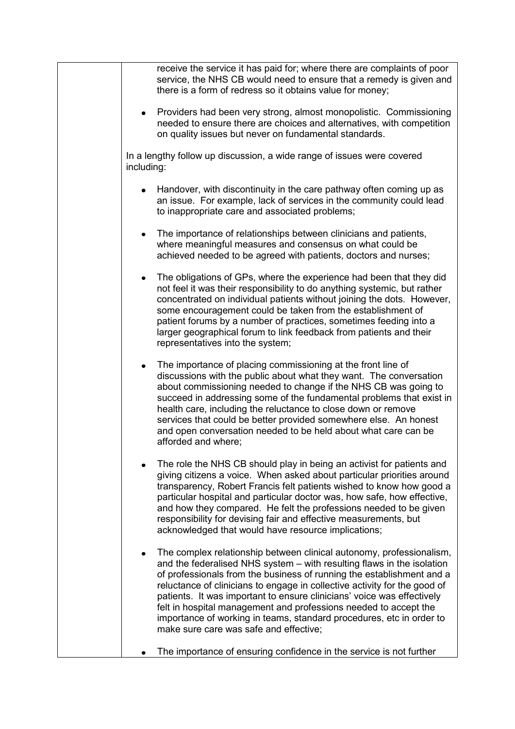| receive the service it has paid for; where there are complaints of poor<br>service, the NHS CB would need to ensure that a remedy is given and<br>there is a form of redress so it obtains value for money;                                                                                                                                                                                                                                                                                                                                                          |
|----------------------------------------------------------------------------------------------------------------------------------------------------------------------------------------------------------------------------------------------------------------------------------------------------------------------------------------------------------------------------------------------------------------------------------------------------------------------------------------------------------------------------------------------------------------------|
| Providers had been very strong, almost monopolistic. Commissioning<br>٠<br>needed to ensure there are choices and alternatives, with competition<br>on quality issues but never on fundamental standards.                                                                                                                                                                                                                                                                                                                                                            |
| In a lengthy follow up discussion, a wide range of issues were covered<br>including:                                                                                                                                                                                                                                                                                                                                                                                                                                                                                 |
| Handover, with discontinuity in the care pathway often coming up as<br>an issue. For example, lack of services in the community could lead<br>to inappropriate care and associated problems;                                                                                                                                                                                                                                                                                                                                                                         |
| The importance of relationships between clinicians and patients,<br>where meaningful measures and consensus on what could be<br>achieved needed to be agreed with patients, doctors and nurses;                                                                                                                                                                                                                                                                                                                                                                      |
| The obligations of GPs, where the experience had been that they did<br>٠<br>not feel it was their responsibility to do anything systemic, but rather<br>concentrated on individual patients without joining the dots. However,<br>some encouragement could be taken from the establishment of<br>patient forums by a number of practices, sometimes feeding into a<br>larger geographical forum to link feedback from patients and their<br>representatives into the system;                                                                                         |
| The importance of placing commissioning at the front line of<br>٠<br>discussions with the public about what they want. The conversation<br>about commissioning needed to change if the NHS CB was going to<br>succeed in addressing some of the fundamental problems that exist in<br>health care, including the reluctance to close down or remove<br>services that could be better provided somewhere else. An honest<br>and open conversation needed to be held about what care can be<br>afforded and where;                                                     |
| The role the NHS CB should play in being an activist for patients and<br>giving citizens a voice. When asked about particular priorities around<br>transparency, Robert Francis felt patients wished to know how good a<br>particular hospital and particular doctor was, how safe, how effective,<br>and how they compared. He felt the professions needed to be given<br>responsibility for devising fair and effective measurements, but<br>acknowledged that would have resource implications;                                                                   |
| The complex relationship between clinical autonomy, professionalism,<br>and the federalised NHS system – with resulting flaws in the isolation<br>of professionals from the business of running the establishment and a<br>reluctance of clinicians to engage in collective activity for the good of<br>patients. It was important to ensure clinicians' voice was effectively<br>felt in hospital management and professions needed to accept the<br>importance of working in teams, standard procedures, etc in order to<br>make sure care was safe and effective; |
| The importance of ensuring confidence in the service is not further                                                                                                                                                                                                                                                                                                                                                                                                                                                                                                  |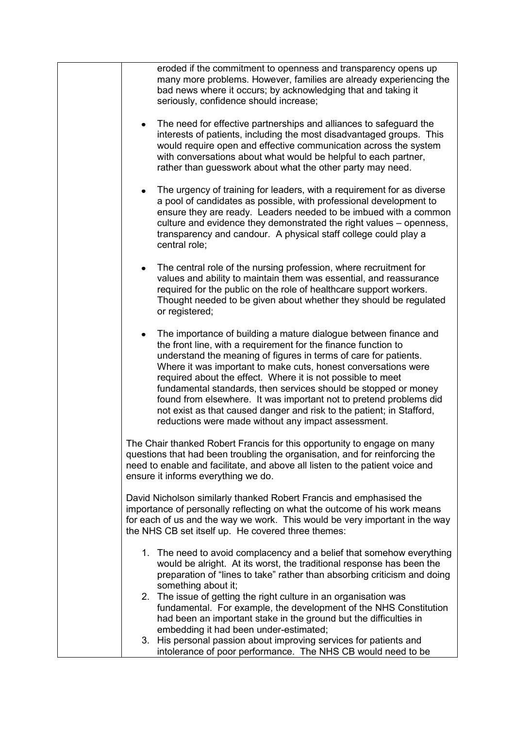| eroded if the commitment to openness and transparency opens up<br>many more problems. However, families are already experiencing the<br>bad news where it occurs; by acknowledging that and taking it<br>seriously, confidence should increase;                                                                                                                                                                                                                                                                                                                                                                  |
|------------------------------------------------------------------------------------------------------------------------------------------------------------------------------------------------------------------------------------------------------------------------------------------------------------------------------------------------------------------------------------------------------------------------------------------------------------------------------------------------------------------------------------------------------------------------------------------------------------------|
| The need for effective partnerships and alliances to safeguard the<br>٠<br>interests of patients, including the most disadvantaged groups. This<br>would require open and effective communication across the system<br>with conversations about what would be helpful to each partner,<br>rather than guesswork about what the other party may need.                                                                                                                                                                                                                                                             |
| The urgency of training for leaders, with a requirement for as diverse<br>$\bullet$<br>a pool of candidates as possible, with professional development to<br>ensure they are ready. Leaders needed to be imbued with a common<br>culture and evidence they demonstrated the right values – openness,<br>transparency and candour. A physical staff college could play a<br>central role;                                                                                                                                                                                                                         |
| The central role of the nursing profession, where recruitment for<br>٠<br>values and ability to maintain them was essential, and reassurance<br>required for the public on the role of healthcare support workers.<br>Thought needed to be given about whether they should be regulated<br>or registered;                                                                                                                                                                                                                                                                                                        |
| The importance of building a mature dialogue between finance and<br>the front line, with a requirement for the finance function to<br>understand the meaning of figures in terms of care for patients.<br>Where it was important to make cuts, honest conversations were<br>required about the effect. Where it is not possible to meet<br>fundamental standards, then services should be stopped or money<br>found from elsewhere. It was important not to pretend problems did<br>not exist as that caused danger and risk to the patient; in Stafford,<br>reductions were made without any impact assessment. |
| The Chair thanked Robert Francis for this opportunity to engage on many<br>questions that had been troubling the organisation, and for reinforcing the<br>need to enable and facilitate, and above all listen to the patient voice and<br>ensure it informs everything we do.                                                                                                                                                                                                                                                                                                                                    |
| David Nicholson similarly thanked Robert Francis and emphasised the<br>importance of personally reflecting on what the outcome of his work means<br>for each of us and the way we work. This would be very important in the way<br>the NHS CB set itself up. He covered three themes:                                                                                                                                                                                                                                                                                                                            |
| 1. The need to avoid complacency and a belief that somehow everything<br>would be alright. At its worst, the traditional response has been the<br>preparation of "lines to take" rather than absorbing criticism and doing<br>something about it;<br>2. The issue of getting the right culture in an organisation was                                                                                                                                                                                                                                                                                            |
| fundamental. For example, the development of the NHS Constitution<br>had been an important stake in the ground but the difficulties in<br>embedding it had been under-estimated;<br>3. His personal passion about improving services for patients and<br>intolerance of poor performance. The NHS CB would need to be                                                                                                                                                                                                                                                                                            |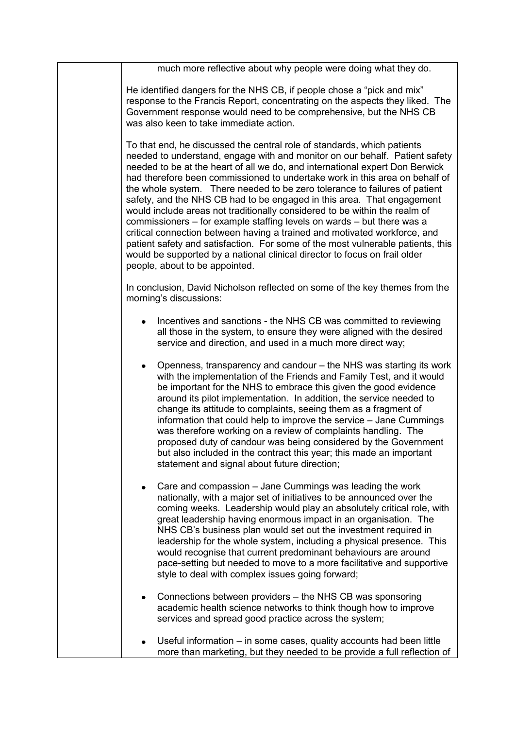| much more reflective about why people were doing what they do.                                                                                                                                                                                                                                                                                                                                                                                                                                                                                                                                                                                                                                                                                                                                                                                                                                                        |
|-----------------------------------------------------------------------------------------------------------------------------------------------------------------------------------------------------------------------------------------------------------------------------------------------------------------------------------------------------------------------------------------------------------------------------------------------------------------------------------------------------------------------------------------------------------------------------------------------------------------------------------------------------------------------------------------------------------------------------------------------------------------------------------------------------------------------------------------------------------------------------------------------------------------------|
| He identified dangers for the NHS CB, if people chose a "pick and mix"<br>response to the Francis Report, concentrating on the aspects they liked. The<br>Government response would need to be comprehensive, but the NHS CB<br>was also keen to take immediate action.                                                                                                                                                                                                                                                                                                                                                                                                                                                                                                                                                                                                                                               |
| To that end, he discussed the central role of standards, which patients<br>needed to understand, engage with and monitor on our behalf. Patient safety<br>needed to be at the heart of all we do, and international expert Don Berwick<br>had therefore been commissioned to undertake work in this area on behalf of<br>the whole system. There needed to be zero tolerance to failures of patient<br>safety, and the NHS CB had to be engaged in this area. That engagement<br>would include areas not traditionally considered to be within the realm of<br>commissioners – for example staffing levels on wards – but there was a<br>critical connection between having a trained and motivated workforce, and<br>patient safety and satisfaction. For some of the most vulnerable patients, this<br>would be supported by a national clinical director to focus on frail older<br>people, about to be appointed. |
| In conclusion, David Nicholson reflected on some of the key themes from the<br>morning's discussions:                                                                                                                                                                                                                                                                                                                                                                                                                                                                                                                                                                                                                                                                                                                                                                                                                 |
| Incentives and sanctions - the NHS CB was committed to reviewing<br>all those in the system, to ensure they were aligned with the desired<br>service and direction, and used in a much more direct way;                                                                                                                                                                                                                                                                                                                                                                                                                                                                                                                                                                                                                                                                                                               |
| Openness, transparency and candour – the NHS was starting its work<br>with the implementation of the Friends and Family Test, and it would<br>be important for the NHS to embrace this given the good evidence<br>around its pilot implementation. In addition, the service needed to<br>change its attitude to complaints, seeing them as a fragment of<br>information that could help to improve the service - Jane Cummings<br>was therefore working on a review of complaints handling. The<br>proposed duty of candour was being considered by the Government<br>but also included in the contract this year; this made an important<br>statement and signal about future direction;                                                                                                                                                                                                                             |
| Care and compassion – Jane Cummings was leading the work<br>٠<br>nationally, with a major set of initiatives to be announced over the<br>coming weeks. Leadership would play an absolutely critical role, with<br>great leadership having enormous impact in an organisation. The<br>NHS CB's business plan would set out the investment required in<br>leadership for the whole system, including a physical presence. This<br>would recognise that current predominant behaviours are around<br>pace-setting but needed to move to a more facilitative and supportive<br>style to deal with complex issues going forward;                                                                                                                                                                                                                                                                                           |
| Connections between providers – the NHS CB was sponsoring<br>٠<br>academic health science networks to think though how to improve<br>services and spread good practice across the system;                                                                                                                                                                                                                                                                                                                                                                                                                                                                                                                                                                                                                                                                                                                             |
| Useful information – in some cases, quality accounts had been little<br>more than marketing, but they needed to be provide a full reflection of                                                                                                                                                                                                                                                                                                                                                                                                                                                                                                                                                                                                                                                                                                                                                                       |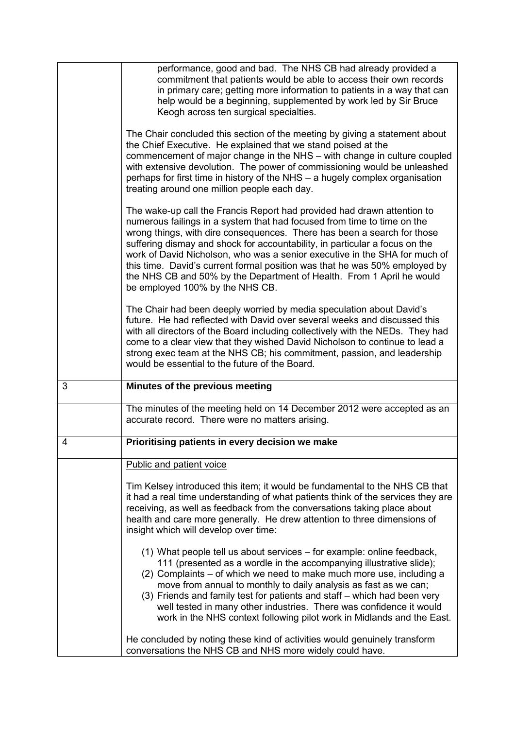|                | performance, good and bad. The NHS CB had already provided a<br>commitment that patients would be able to access their own records<br>in primary care; getting more information to patients in a way that can<br>help would be a beginning, supplemented by work led by Sir Bruce<br>Keogh across ten surgical specialties.                                                                                                                                                                                                                                                          |
|----------------|--------------------------------------------------------------------------------------------------------------------------------------------------------------------------------------------------------------------------------------------------------------------------------------------------------------------------------------------------------------------------------------------------------------------------------------------------------------------------------------------------------------------------------------------------------------------------------------|
|                | The Chair concluded this section of the meeting by giving a statement about<br>the Chief Executive. He explained that we stand poised at the<br>commencement of major change in the NHS - with change in culture coupled<br>with extensive devolution. The power of commissioning would be unleashed<br>perhaps for first time in history of the NHS - a hugely complex organisation<br>treating around one million people each day.                                                                                                                                                 |
|                | The wake-up call the Francis Report had provided had drawn attention to<br>numerous failings in a system that had focused from time to time on the<br>wrong things, with dire consequences. There has been a search for those<br>suffering dismay and shock for accountability, in particular a focus on the<br>work of David Nicholson, who was a senior executive in the SHA for much of<br>this time. David's current formal position was that he was 50% employed by<br>the NHS CB and 50% by the Department of Health. From 1 April he would<br>be employed 100% by the NHS CB. |
|                | The Chair had been deeply worried by media speculation about David's<br>future. He had reflected with David over several weeks and discussed this<br>with all directors of the Board including collectively with the NEDs. They had<br>come to a clear view that they wished David Nicholson to continue to lead a<br>strong exec team at the NHS CB; his commitment, passion, and leadership<br>would be essential to the future of the Board.                                                                                                                                      |
| 3              | Minutes of the previous meeting                                                                                                                                                                                                                                                                                                                                                                                                                                                                                                                                                      |
|                | The minutes of the meeting held on 14 December 2012 were accepted as an<br>accurate record. There were no matters arising.                                                                                                                                                                                                                                                                                                                                                                                                                                                           |
| $\overline{4}$ | Prioritising patients in every decision we make                                                                                                                                                                                                                                                                                                                                                                                                                                                                                                                                      |
|                | Public and patient voice                                                                                                                                                                                                                                                                                                                                                                                                                                                                                                                                                             |
|                | Tim Kelsey introduced this item; it would be fundamental to the NHS CB that<br>it had a real time understanding of what patients think of the services they are<br>receiving, as well as feedback from the conversations taking place about<br>health and care more generally. He drew attention to three dimensions of<br>insight which will develop over time:                                                                                                                                                                                                                     |
|                | (1) What people tell us about services – for example: online feedback,<br>111 (presented as a wordle in the accompanying illustrative slide);<br>(2) Complaints – of which we need to make much more use, including a<br>move from annual to monthly to daily analysis as fast as we can;<br>(3) Friends and family test for patients and staff – which had been very<br>well tested in many other industries. There was confidence it would<br>work in the NHS context following pilot work in Midlands and the East.                                                               |
|                | He concluded by noting these kind of activities would genuinely transform                                                                                                                                                                                                                                                                                                                                                                                                                                                                                                            |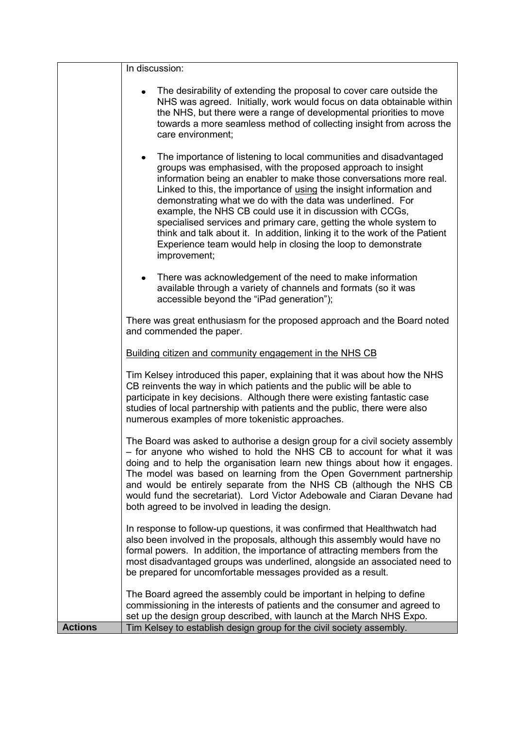|                | In discussion:                                                                                                                                                                                                                                                                                                                                                                                                                                                                                                                                                                                                                                                 |
|----------------|----------------------------------------------------------------------------------------------------------------------------------------------------------------------------------------------------------------------------------------------------------------------------------------------------------------------------------------------------------------------------------------------------------------------------------------------------------------------------------------------------------------------------------------------------------------------------------------------------------------------------------------------------------------|
|                | The desirability of extending the proposal to cover care outside the<br>NHS was agreed. Initially, work would focus on data obtainable within<br>the NHS, but there were a range of developmental priorities to move<br>towards a more seamless method of collecting insight from across the<br>care environment;                                                                                                                                                                                                                                                                                                                                              |
|                | The importance of listening to local communities and disadvantaged<br>$\bullet$<br>groups was emphasised, with the proposed approach to insight<br>information being an enabler to make those conversations more real.<br>Linked to this, the importance of using the insight information and<br>demonstrating what we do with the data was underlined. For<br>example, the NHS CB could use it in discussion with CCGs,<br>specialised services and primary care, getting the whole system to<br>think and talk about it. In addition, linking it to the work of the Patient<br>Experience team would help in closing the loop to demonstrate<br>improvement; |
|                | There was acknowledgement of the need to make information<br>٠<br>available through a variety of channels and formats (so it was<br>accessible beyond the "iPad generation");                                                                                                                                                                                                                                                                                                                                                                                                                                                                                  |
|                | There was great enthusiasm for the proposed approach and the Board noted<br>and commended the paper.                                                                                                                                                                                                                                                                                                                                                                                                                                                                                                                                                           |
|                | Building citizen and community engagement in the NHS CB                                                                                                                                                                                                                                                                                                                                                                                                                                                                                                                                                                                                        |
|                | Tim Kelsey introduced this paper, explaining that it was about how the NHS<br>CB reinvents the way in which patients and the public will be able to<br>participate in key decisions. Although there were existing fantastic case<br>studies of local partnership with patients and the public, there were also<br>numerous examples of more tokenistic approaches.                                                                                                                                                                                                                                                                                             |
|                | The Board was asked to authorise a design group for a civil society assembly<br>- for anyone who wished to hold the NHS CB to account for what it was<br>doing and to help the organisation learn new things about how it engages.<br>The model was based on learning from the Open Government partnership<br>and would be entirely separate from the NHS CB (although the NHS CB<br>would fund the secretariat). Lord Victor Adebowale and Ciaran Devane had<br>both agreed to be involved in leading the design.                                                                                                                                             |
|                | In response to follow-up questions, it was confirmed that Healthwatch had<br>also been involved in the proposals, although this assembly would have no<br>formal powers. In addition, the importance of attracting members from the<br>most disadvantaged groups was underlined, alongside an associated need to<br>be prepared for uncomfortable messages provided as a result.                                                                                                                                                                                                                                                                               |
| <b>Actions</b> | The Board agreed the assembly could be important in helping to define<br>commissioning in the interests of patients and the consumer and agreed to<br>set up the design group described, with launch at the March NHS Expo.<br>Tim Kelsey to establish design group for the civil society assembly.                                                                                                                                                                                                                                                                                                                                                            |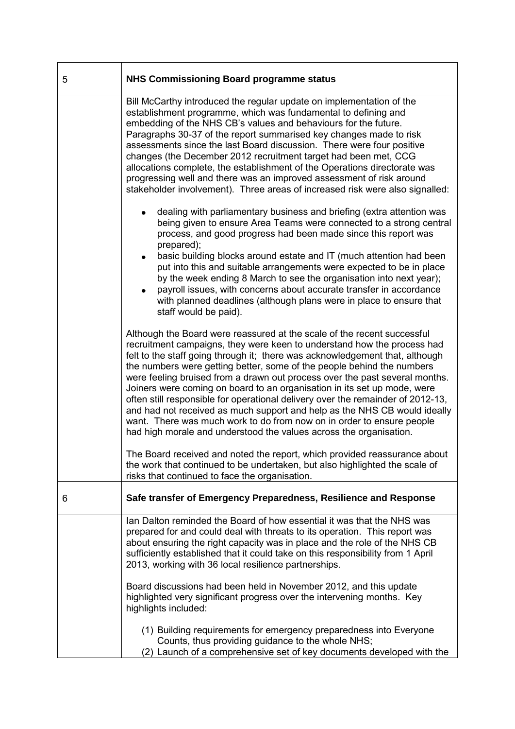| 5 | <b>NHS Commissioning Board programme status</b>                                                                                                                                                                                                                                                                                                                                                                                                                                                                                                                                                                                                                                                                                                                                        |
|---|----------------------------------------------------------------------------------------------------------------------------------------------------------------------------------------------------------------------------------------------------------------------------------------------------------------------------------------------------------------------------------------------------------------------------------------------------------------------------------------------------------------------------------------------------------------------------------------------------------------------------------------------------------------------------------------------------------------------------------------------------------------------------------------|
|   | Bill McCarthy introduced the regular update on implementation of the<br>establishment programme, which was fundamental to defining and<br>embedding of the NHS CB's values and behaviours for the future.<br>Paragraphs 30-37 of the report summarised key changes made to risk<br>assessments since the last Board discussion. There were four positive<br>changes (the December 2012 recruitment target had been met, CCG<br>allocations complete, the establishment of the Operations directorate was<br>progressing well and there was an improved assessment of risk around<br>stakeholder involvement). Three areas of increased risk were also signalled:                                                                                                                       |
|   | dealing with parliamentary business and briefing (extra attention was<br>being given to ensure Area Teams were connected to a strong central<br>process, and good progress had been made since this report was<br>prepared);<br>basic building blocks around estate and IT (much attention had been<br>put into this and suitable arrangements were expected to be in place<br>by the week ending 8 March to see the organisation into next year);<br>payroll issues, with concerns about accurate transfer in accordance<br>with planned deadlines (although plans were in place to ensure that<br>staff would be paid).                                                                                                                                                              |
|   | Although the Board were reassured at the scale of the recent successful<br>recruitment campaigns, they were keen to understand how the process had<br>felt to the staff going through it; there was acknowledgement that, although<br>the numbers were getting better, some of the people behind the numbers<br>were feeling bruised from a drawn out process over the past several months.<br>Joiners were coming on board to an organisation in its set up mode, were<br>often still responsible for operational delivery over the remainder of 2012-13,<br>and had not received as much support and help as the NHS CB would ideally<br>want. There was much work to do from now on in order to ensure people<br>had high morale and understood the values across the organisation. |
|   | The Board received and noted the report, which provided reassurance about<br>the work that continued to be undertaken, but also highlighted the scale of<br>risks that continued to face the organisation.                                                                                                                                                                                                                                                                                                                                                                                                                                                                                                                                                                             |
| 6 | Safe transfer of Emergency Preparedness, Resilience and Response                                                                                                                                                                                                                                                                                                                                                                                                                                                                                                                                                                                                                                                                                                                       |
|   | lan Dalton reminded the Board of how essential it was that the NHS was<br>prepared for and could deal with threats to its operation. This report was<br>about ensuring the right capacity was in place and the role of the NHS CB<br>sufficiently established that it could take on this responsibility from 1 April<br>2013, working with 36 local resilience partnerships.                                                                                                                                                                                                                                                                                                                                                                                                           |
|   | Board discussions had been held in November 2012, and this update<br>highlighted very significant progress over the intervening months. Key<br>highlights included:                                                                                                                                                                                                                                                                                                                                                                                                                                                                                                                                                                                                                    |
|   | (1) Building requirements for emergency preparedness into Everyone<br>Counts, thus providing guidance to the whole NHS;<br>(2) Launch of a comprehensive set of key documents developed with the                                                                                                                                                                                                                                                                                                                                                                                                                                                                                                                                                                                       |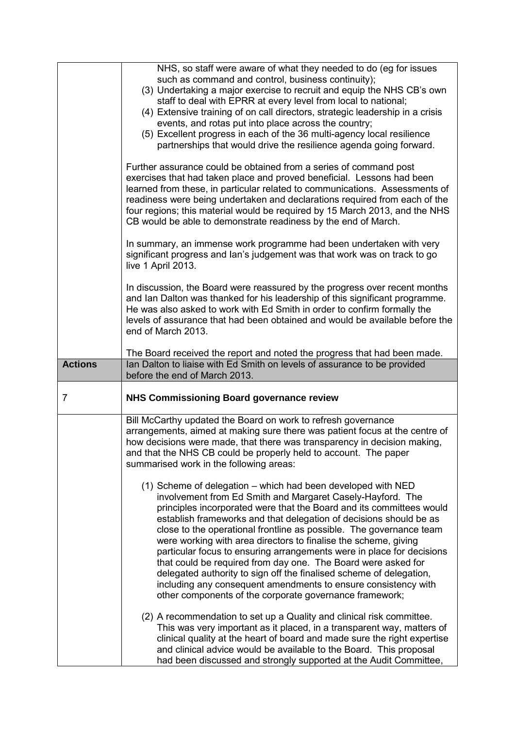|                | NHS, so staff were aware of what they needed to do (eg for issues<br>such as command and control, business continuity);<br>(3) Undertaking a major exercise to recruit and equip the NHS CB's own<br>staff to deal with EPRR at every level from local to national;                                                                                                                                                                                                                                                                                                                                                                                                                                                                                              |
|----------------|------------------------------------------------------------------------------------------------------------------------------------------------------------------------------------------------------------------------------------------------------------------------------------------------------------------------------------------------------------------------------------------------------------------------------------------------------------------------------------------------------------------------------------------------------------------------------------------------------------------------------------------------------------------------------------------------------------------------------------------------------------------|
|                | (4) Extensive training of on call directors, strategic leadership in a crisis<br>events, and rotas put into place across the country;<br>(5) Excellent progress in each of the 36 multi-agency local resilience                                                                                                                                                                                                                                                                                                                                                                                                                                                                                                                                                  |
|                | partnerships that would drive the resilience agenda going forward.                                                                                                                                                                                                                                                                                                                                                                                                                                                                                                                                                                                                                                                                                               |
|                | Further assurance could be obtained from a series of command post<br>exercises that had taken place and proved beneficial. Lessons had been<br>learned from these, in particular related to communications. Assessments of<br>readiness were being undertaken and declarations required from each of the<br>four regions; this material would be required by 15 March 2013, and the NHS<br>CB would be able to demonstrate readiness by the end of March.                                                                                                                                                                                                                                                                                                        |
|                | In summary, an immense work programme had been undertaken with very<br>significant progress and lan's judgement was that work was on track to go<br>live 1 April 2013.                                                                                                                                                                                                                                                                                                                                                                                                                                                                                                                                                                                           |
|                | In discussion, the Board were reassured by the progress over recent months<br>and Ian Dalton was thanked for his leadership of this significant programme.<br>He was also asked to work with Ed Smith in order to confirm formally the<br>levels of assurance that had been obtained and would be available before the<br>end of March 2013.                                                                                                                                                                                                                                                                                                                                                                                                                     |
|                | The Board received the report and noted the progress that had been made.                                                                                                                                                                                                                                                                                                                                                                                                                                                                                                                                                                                                                                                                                         |
| <b>Actions</b> | Ian Dalton to liaise with Ed Smith on levels of assurance to be provided<br>before the end of March 2013.                                                                                                                                                                                                                                                                                                                                                                                                                                                                                                                                                                                                                                                        |
| $\overline{7}$ | <b>NHS Commissioning Board governance review</b>                                                                                                                                                                                                                                                                                                                                                                                                                                                                                                                                                                                                                                                                                                                 |
|                | Bill McCarthy updated the Board on work to refresh governance<br>arrangements, aimed at making sure there was patient focus at the centre of                                                                                                                                                                                                                                                                                                                                                                                                                                                                                                                                                                                                                     |
|                | how decisions were made, that there was transparency in decision making,<br>and that the NHS CB could be properly held to account. The paper<br>summarised work in the following areas:                                                                                                                                                                                                                                                                                                                                                                                                                                                                                                                                                                          |
|                | (1) Scheme of delegation – which had been developed with NED<br>involvement from Ed Smith and Margaret Casely-Hayford. The<br>principles incorporated were that the Board and its committees would<br>establish frameworks and that delegation of decisions should be as<br>close to the operational frontline as possible. The governance team<br>were working with area directors to finalise the scheme, giving<br>particular focus to ensuring arrangements were in place for decisions<br>that could be required from day one. The Board were asked for<br>delegated authority to sign off the finalised scheme of delegation,<br>including any consequent amendments to ensure consistency with<br>other components of the corporate governance framework; |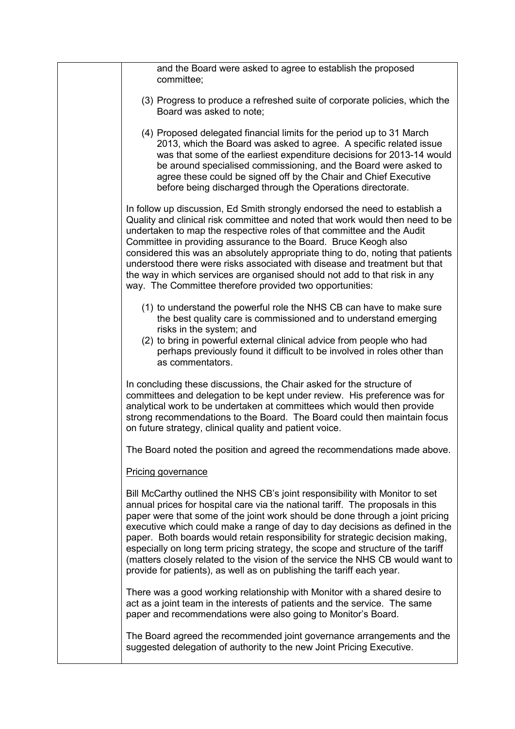| and the Board were asked to agree to establish the proposed<br>committee;                                                                                                                                                                                                                                                                                                                                                                                                                                                                                                                                                                                      |
|----------------------------------------------------------------------------------------------------------------------------------------------------------------------------------------------------------------------------------------------------------------------------------------------------------------------------------------------------------------------------------------------------------------------------------------------------------------------------------------------------------------------------------------------------------------------------------------------------------------------------------------------------------------|
| (3) Progress to produce a refreshed suite of corporate policies, which the<br>Board was asked to note:                                                                                                                                                                                                                                                                                                                                                                                                                                                                                                                                                         |
| (4) Proposed delegated financial limits for the period up to 31 March<br>2013, which the Board was asked to agree. A specific related issue<br>was that some of the earliest expenditure decisions for 2013-14 would<br>be around specialised commissioning, and the Board were asked to<br>agree these could be signed off by the Chair and Chief Executive<br>before being discharged through the Operations directorate.                                                                                                                                                                                                                                    |
| In follow up discussion, Ed Smith strongly endorsed the need to establish a<br>Quality and clinical risk committee and noted that work would then need to be<br>undertaken to map the respective roles of that committee and the Audit<br>Committee in providing assurance to the Board. Bruce Keogh also<br>considered this was an absolutely appropriate thing to do, noting that patients<br>understood there were risks associated with disease and treatment but that<br>the way in which services are organised should not add to that risk in any<br>way. The Committee therefore provided two opportunities:                                           |
| (1) to understand the powerful role the NHS CB can have to make sure<br>the best quality care is commissioned and to understand emerging<br>risks in the system; and<br>(2) to bring in powerful external clinical advice from people who had<br>perhaps previously found it difficult to be involved in roles other than<br>as commentators.                                                                                                                                                                                                                                                                                                                  |
| In concluding these discussions, the Chair asked for the structure of<br>committees and delegation to be kept under review. His preference was for<br>analytical work to be undertaken at committees which would then provide<br>strong recommendations to the Board. The Board could then maintain focus<br>on future strategy, clinical quality and patient voice.                                                                                                                                                                                                                                                                                           |
| The Board noted the position and agreed the recommendations made above.                                                                                                                                                                                                                                                                                                                                                                                                                                                                                                                                                                                        |
| <b>Pricing governance</b>                                                                                                                                                                                                                                                                                                                                                                                                                                                                                                                                                                                                                                      |
| Bill McCarthy outlined the NHS CB's joint responsibility with Monitor to set<br>annual prices for hospital care via the national tariff. The proposals in this<br>paper were that some of the joint work should be done through a joint pricing<br>executive which could make a range of day to day decisions as defined in the<br>paper. Both boards would retain responsibility for strategic decision making,<br>especially on long term pricing strategy, the scope and structure of the tariff<br>(matters closely related to the vision of the service the NHS CB would want to<br>provide for patients), as well as on publishing the tariff each year. |
| There was a good working relationship with Monitor with a shared desire to<br>act as a joint team in the interests of patients and the service. The same<br>paper and recommendations were also going to Monitor's Board.                                                                                                                                                                                                                                                                                                                                                                                                                                      |
| The Board agreed the recommended joint governance arrangements and the<br>suggested delegation of authority to the new Joint Pricing Executive.                                                                                                                                                                                                                                                                                                                                                                                                                                                                                                                |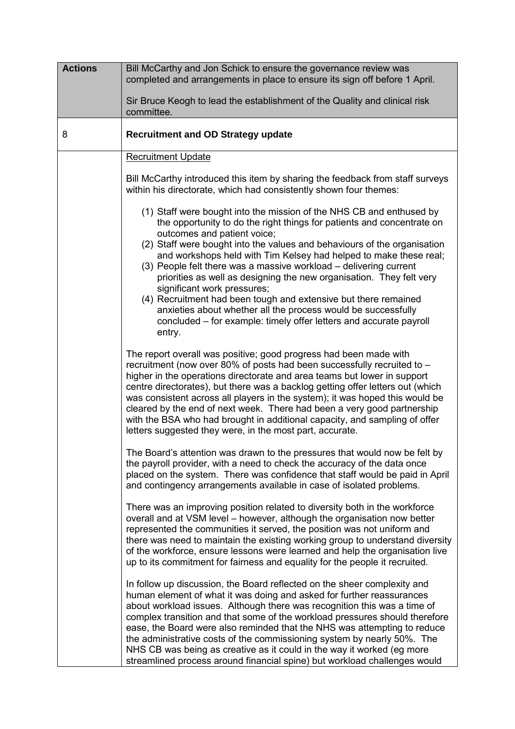| <b>Actions</b> | Bill McCarthy and Jon Schick to ensure the governance review was<br>completed and arrangements in place to ensure its sign off before 1 April.                                                                                                                                                                                                                                                                                                                                                                                                                                                                                                                                                                                 |
|----------------|--------------------------------------------------------------------------------------------------------------------------------------------------------------------------------------------------------------------------------------------------------------------------------------------------------------------------------------------------------------------------------------------------------------------------------------------------------------------------------------------------------------------------------------------------------------------------------------------------------------------------------------------------------------------------------------------------------------------------------|
|                | Sir Bruce Keogh to lead the establishment of the Quality and clinical risk<br>committee.                                                                                                                                                                                                                                                                                                                                                                                                                                                                                                                                                                                                                                       |
| 8              | <b>Recruitment and OD Strategy update</b>                                                                                                                                                                                                                                                                                                                                                                                                                                                                                                                                                                                                                                                                                      |
|                | <b>Recruitment Update</b>                                                                                                                                                                                                                                                                                                                                                                                                                                                                                                                                                                                                                                                                                                      |
|                | Bill McCarthy introduced this item by sharing the feedback from staff surveys<br>within his directorate, which had consistently shown four themes:                                                                                                                                                                                                                                                                                                                                                                                                                                                                                                                                                                             |
|                | (1) Staff were bought into the mission of the NHS CB and enthused by<br>the opportunity to do the right things for patients and concentrate on<br>outcomes and patient voice;<br>(2) Staff were bought into the values and behaviours of the organisation<br>and workshops held with Tim Kelsey had helped to make these real;<br>(3) People felt there was a massive workload - delivering current<br>priorities as well as designing the new organisation. They felt very<br>significant work pressures;<br>(4) Recruitment had been tough and extensive but there remained<br>anxieties about whether all the process would be successfully<br>concluded – for example: timely offer letters and accurate payroll<br>entry. |
|                | The report overall was positive; good progress had been made with<br>recruitment (now over 80% of posts had been successfully recruited to -<br>higher in the operations directorate and area teams but lower in support<br>centre directorates), but there was a backlog getting offer letters out (which<br>was consistent across all players in the system); it was hoped this would be<br>cleared by the end of next week. There had been a very good partnership<br>with the BSA who had brought in additional capacity, and sampling of offer<br>letters suggested they were, in the most part, accurate.                                                                                                                |
|                | The Board's attention was drawn to the pressures that would now be felt by<br>the payroll provider, with a need to check the accuracy of the data once<br>placed on the system. There was confidence that staff would be paid in April<br>and contingency arrangements available in case of isolated problems.                                                                                                                                                                                                                                                                                                                                                                                                                 |
|                | There was an improving position related to diversity both in the workforce<br>overall and at VSM level – however, although the organisation now better<br>represented the communities it served, the position was not uniform and<br>there was need to maintain the existing working group to understand diversity<br>of the workforce, ensure lessons were learned and help the organisation live<br>up to its commitment for fairness and equality for the people it recruited.                                                                                                                                                                                                                                              |
|                | In follow up discussion, the Board reflected on the sheer complexity and<br>human element of what it was doing and asked for further reassurances<br>about workload issues. Although there was recognition this was a time of<br>complex transition and that some of the workload pressures should therefore<br>ease, the Board were also reminded that the NHS was attempting to reduce<br>the administrative costs of the commissioning system by nearly 50%. The<br>NHS CB was being as creative as it could in the way it worked (eg more<br>streamlined process around financial spine) but workload challenges would                                                                                                     |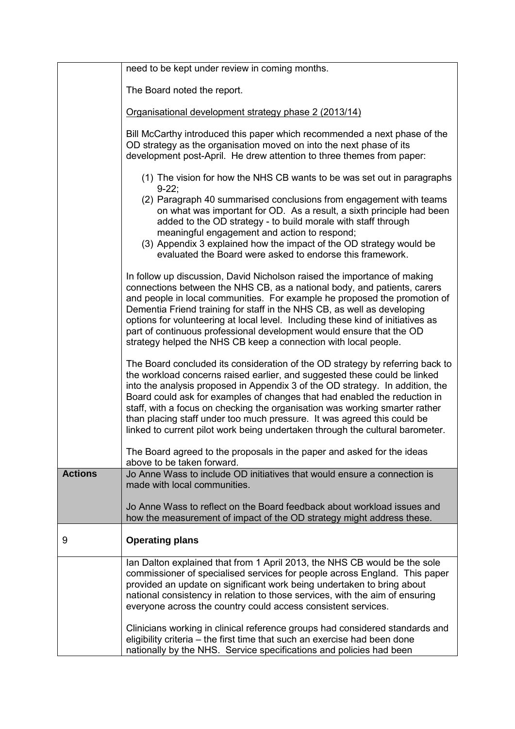|                | need to be kept under review in coming months.                                                                                                                                                                                                                                                                                                                                                                                                                                                                                                                      |
|----------------|---------------------------------------------------------------------------------------------------------------------------------------------------------------------------------------------------------------------------------------------------------------------------------------------------------------------------------------------------------------------------------------------------------------------------------------------------------------------------------------------------------------------------------------------------------------------|
|                | The Board noted the report.                                                                                                                                                                                                                                                                                                                                                                                                                                                                                                                                         |
|                | Organisational development strategy phase 2 (2013/14)                                                                                                                                                                                                                                                                                                                                                                                                                                                                                                               |
|                | Bill McCarthy introduced this paper which recommended a next phase of the<br>OD strategy as the organisation moved on into the next phase of its<br>development post-April. He drew attention to three themes from paper:                                                                                                                                                                                                                                                                                                                                           |
|                | (1) The vision for how the NHS CB wants to be was set out in paragraphs<br>$9-22;$                                                                                                                                                                                                                                                                                                                                                                                                                                                                                  |
|                | (2) Paragraph 40 summarised conclusions from engagement with teams<br>on what was important for OD. As a result, a sixth principle had been<br>added to the OD strategy - to build morale with staff through<br>meaningful engagement and action to respond;                                                                                                                                                                                                                                                                                                        |
|                | (3) Appendix 3 explained how the impact of the OD strategy would be<br>evaluated the Board were asked to endorse this framework.                                                                                                                                                                                                                                                                                                                                                                                                                                    |
|                | In follow up discussion, David Nicholson raised the importance of making<br>connections between the NHS CB, as a national body, and patients, carers<br>and people in local communities. For example he proposed the promotion of<br>Dementia Friend training for staff in the NHS CB, as well as developing<br>options for volunteering at local level. Including these kind of initiatives as<br>part of continuous professional development would ensure that the OD<br>strategy helped the NHS CB keep a connection with local people.                          |
|                | The Board concluded its consideration of the OD strategy by referring back to<br>the workload concerns raised earlier, and suggested these could be linked<br>into the analysis proposed in Appendix 3 of the OD strategy. In addition, the<br>Board could ask for examples of changes that had enabled the reduction in<br>staff, with a focus on checking the organisation was working smarter rather<br>than placing staff under too much pressure. It was agreed this could be<br>linked to current pilot work being undertaken through the cultural barometer. |
|                | The Board agreed to the proposals in the paper and asked for the ideas<br>above to be taken forward.                                                                                                                                                                                                                                                                                                                                                                                                                                                                |
| <b>Actions</b> | Jo Anne Wass to include OD initiatives that would ensure a connection is<br>made with local communities.                                                                                                                                                                                                                                                                                                                                                                                                                                                            |
|                | Jo Anne Wass to reflect on the Board feedback about workload issues and<br>how the measurement of impact of the OD strategy might address these.                                                                                                                                                                                                                                                                                                                                                                                                                    |
| 9              | <b>Operating plans</b>                                                                                                                                                                                                                                                                                                                                                                                                                                                                                                                                              |
|                | Ian Dalton explained that from 1 April 2013, the NHS CB would be the sole<br>commissioner of specialised services for people across England. This paper<br>provided an update on significant work being undertaken to bring about<br>national consistency in relation to those services, with the aim of ensuring<br>everyone across the country could access consistent services.                                                                                                                                                                                  |
|                | Clinicians working in clinical reference groups had considered standards and<br>eligibility criteria – the first time that such an exercise had been done<br>nationally by the NHS. Service specifications and policies had been                                                                                                                                                                                                                                                                                                                                    |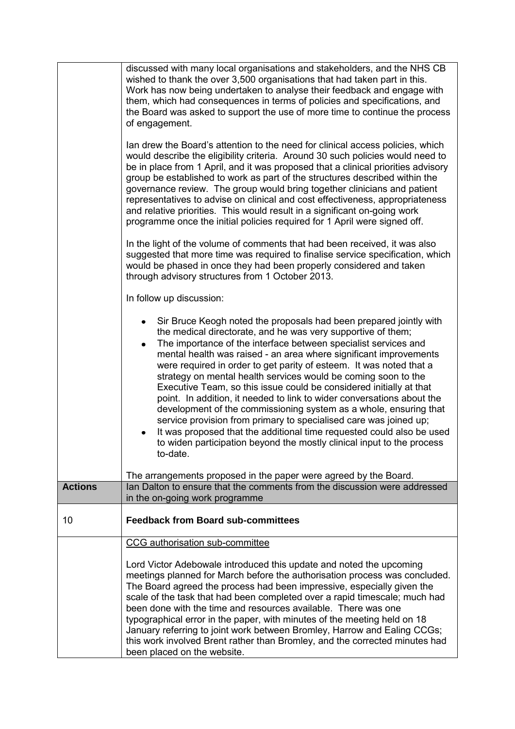|                | discussed with many local organisations and stakeholders, and the NHS CB<br>wished to thank the over 3,500 organisations that had taken part in this.<br>Work has now being undertaken to analyse their feedback and engage with<br>them, which had consequences in terms of policies and specifications, and<br>the Board was asked to support the use of more time to continue the process<br>of engagement.                                                                                                                                                                                                                                                                                                                                                                                                                                                                     |
|----------------|------------------------------------------------------------------------------------------------------------------------------------------------------------------------------------------------------------------------------------------------------------------------------------------------------------------------------------------------------------------------------------------------------------------------------------------------------------------------------------------------------------------------------------------------------------------------------------------------------------------------------------------------------------------------------------------------------------------------------------------------------------------------------------------------------------------------------------------------------------------------------------|
|                | Ian drew the Board's attention to the need for clinical access policies, which<br>would describe the eligibility criteria. Around 30 such policies would need to<br>be in place from 1 April, and it was proposed that a clinical priorities advisory<br>group be established to work as part of the structures described within the<br>governance review. The group would bring together clinicians and patient<br>representatives to advise on clinical and cost effectiveness, appropriateness<br>and relative priorities. This would result in a significant on-going work<br>programme once the initial policies required for 1 April were signed off.                                                                                                                                                                                                                        |
|                | In the light of the volume of comments that had been received, it was also<br>suggested that more time was required to finalise service specification, which<br>would be phased in once they had been properly considered and taken<br>through advisory structures from 1 October 2013.                                                                                                                                                                                                                                                                                                                                                                                                                                                                                                                                                                                            |
|                | In follow up discussion:                                                                                                                                                                                                                                                                                                                                                                                                                                                                                                                                                                                                                                                                                                                                                                                                                                                           |
|                | Sir Bruce Keogh noted the proposals had been prepared jointly with<br>the medical directorate, and he was very supportive of them;<br>The importance of the interface between specialist services and<br>٠<br>mental health was raised - an area where significant improvements<br>were required in order to get parity of esteem. It was noted that a<br>strategy on mental health services would be coming soon to the<br>Executive Team, so this issue could be considered initially at that<br>point. In addition, it needed to link to wider conversations about the<br>development of the commissioning system as a whole, ensuring that<br>service provision from primary to specialised care was joined up;<br>It was proposed that the additional time requested could also be used<br>to widen participation beyond the mostly clinical input to the process<br>to-date. |
| <b>Actions</b> | The arrangements proposed in the paper were agreed by the Board.<br>lan Dalton to ensure that the comments from the discussion were addressed                                                                                                                                                                                                                                                                                                                                                                                                                                                                                                                                                                                                                                                                                                                                      |
|                | in the on-going work programme                                                                                                                                                                                                                                                                                                                                                                                                                                                                                                                                                                                                                                                                                                                                                                                                                                                     |
| 10             | <b>Feedback from Board sub-committees</b>                                                                                                                                                                                                                                                                                                                                                                                                                                                                                                                                                                                                                                                                                                                                                                                                                                          |
|                | CCG authorisation sub-committee                                                                                                                                                                                                                                                                                                                                                                                                                                                                                                                                                                                                                                                                                                                                                                                                                                                    |
|                | Lord Victor Adebowale introduced this update and noted the upcoming<br>meetings planned for March before the authorisation process was concluded.<br>The Board agreed the process had been impressive, especially given the<br>scale of the task that had been completed over a rapid timescale; much had<br>been done with the time and resources available. There was one<br>typographical error in the paper, with minutes of the meeting held on 18<br>January referring to joint work between Bromley, Harrow and Ealing CCGs;<br>this work involved Brent rather than Bromley, and the corrected minutes had<br>been placed on the website.                                                                                                                                                                                                                                  |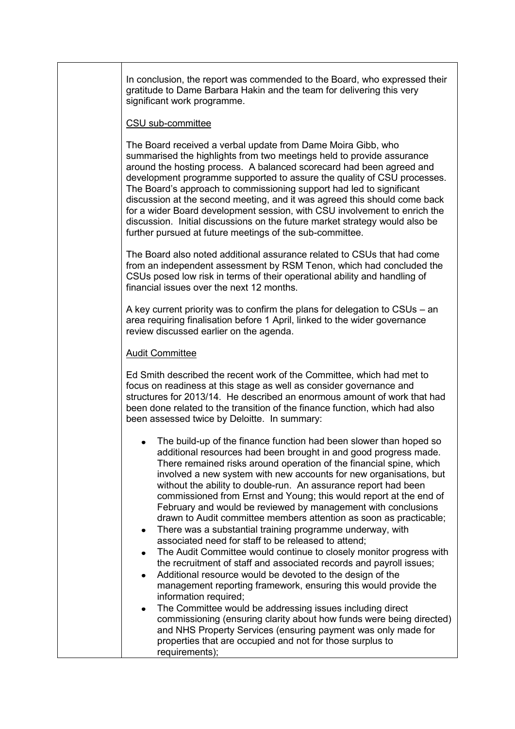In conclusion, the report was commended to the Board, who expressed their gratitude to Dame Barbara Hakin and the team for delivering this very significant work programme.

### CSU sub-committee

The Board received a verbal update from Dame Moira Gibb, who summarised the highlights from two meetings held to provide assurance around the hosting process. A balanced scorecard had been agreed and development programme supported to assure the quality of CSU processes. The Board's approach to commissioning support had led to significant discussion at the second meeting, and it was agreed this should come back for a wider Board development session, with CSU involvement to enrich the discussion. Initial discussions on the future market strategy would also be further pursued at future meetings of the sub-committee.

The Board also noted additional assurance related to CSUs that had come from an independent assessment by RSM Tenon, which had concluded the CSUs posed low risk in terms of their operational ability and handling of financial issues over the next 12 months.

A key current priority was to confirm the plans for delegation to CSUs – an area requiring finalisation before 1 April, linked to the wider governance review discussed earlier on the agenda.

### Audit Committee

Ed Smith described the recent work of the Committee, which had met to focus on readiness at this stage as well as consider governance and structures for 2013/14. He described an enormous amount of work that had been done related to the transition of the finance function, which had also been assessed twice by Deloitte. In summary:

- The build-up of the finance function had been slower than hoped so additional resources had been brought in and good progress made. There remained risks around operation of the financial spine, which involved a new system with new accounts for new organisations, but without the ability to double-run. An assurance report had been commissioned from Ernst and Young; this would report at the end of February and would be reviewed by management with conclusions drawn to Audit committee members attention as soon as practicable;
- There was a substantial training programme underway, with associated need for staff to be released to attend;
- The Audit Committee would continue to closely monitor progress with the recruitment of staff and associated records and payroll issues;
- Additional resource would be devoted to the design of the management reporting framework, ensuring this would provide the information required:
- The Committee would be addressing issues including direct commissioning (ensuring clarity about how funds were being directed) and NHS Property Services (ensuring payment was only made for properties that are occupied and not for those surplus to requirements);